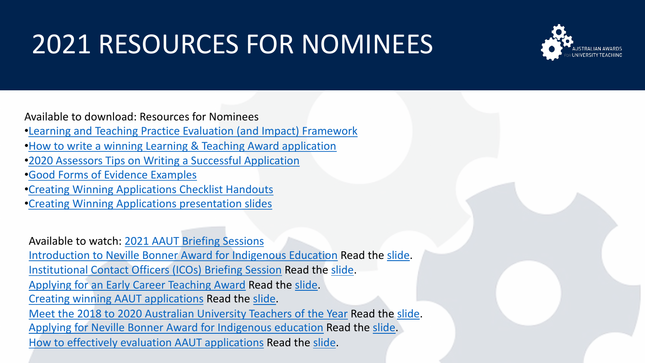## 2021 RESOURCES FOR NOMINEES



Available to download: Resources for Nominees

•[Learning and Teaching Practice Evaluation \(and Impact\) Framework](https://www.usq.edu.au/-/media/usq/learning-teaching/resources/learning-and-teaching-practice-evaluation-and-impact-framework.ashx)

•[How to write a winning Learning & Teaching Award application](https://www.usq.edu.au/-/media/usq/learning-teaching/resources/how-to-write-a-winning-learning-and-teaching-award-application.ashx)

•[2020 Assessors Tips on Writing a Successful Application](https://aautn.org/wp/wp-content/uploads/2021/08/2020-Assessors-Tips-on-Writing-a-Successful-Application.pdf)

•[Good Forms of Evidence Examples](https://aautn.org/wp/wp-content/uploads/2021/08/Good-Forms-of-Evidence-Examples.pdf)

•[Creating Winning Applications Checklist Handouts](https://aautn.org/wp/wp-content/uploads/2021/06/Creating-winning-applications-Checklist-Handouts-Jun.pdf)

•[Creating Winning Applications presentation slides](https://aautn.org/wp/wp-content/uploads/2021/06/Creating-winning-applications-Powerpoint-Slides_compressed.pdf)

Available to watch: [2021 AAUT Briefing Sessions](https://www.youtube.com/playlist?list=PLBcVgFt8nQv5fqfSf8iEWTJWpUCO62giM) [Introduction to Neville Bonner Award for Indigenous Education](https://www.youtube.com/watch?v=2fYqdJxbOOM&list=PLBcVgFt8nQv5fqfSf8iEWTJWpUCO62giM&index=1) Read the [slide.](https://aautn.org/wp/wp-content/uploads/2021/08/2021-AAUT-BRIEFING-SESSION_NEVILLE-BONNER-AWARD-FOR-INDIGENOUS-EDUCATION_11May.pdf) [Institutional Contact Officers \(ICOs\) Briefing Session](https://www.youtube.com/watch?v=0tp0bBdu6bk&list=PLBcVgFt8nQv5fqfSf8iEWTJWpUCO62giM&index=2) Read the [slide.](https://aautn.org/wp/wp-content/uploads/2021/08/2021-AAUT-BRIEFING-SESSION_INSTITUTIONAL-CONTACT-OFFICERS_27May.pdf) [Applying for an Early Career Teaching Award](https://www.youtube.com/watch?v=3d5EQoA69ZE&list=PLBcVgFt8nQv5fqfSf8iEWTJWpUCO62giM&index=3&t=904s) Read the [slide.](https://aautn.org/wp/wp-content/uploads/2021/08/2021-AAUT-BRIEFING-SESSION_EARLY-CAREER-TEACHING-AWARD_3Jun.pdf) [Creating winning AAUT applications](https://www.youtube.com/watch?v=v7CwSRaH0JY&list=PLBcVgFt8nQv5fqfSf8iEWTJWpUCO62giM&index=4) Read the [slide.](https://aautn.org/wp/wp-content/uploads/2021/08/2021-AAUT-BRIEFING-SESSION_CREATING-A-WINNING-APPLICATION_10Jun.pdf) [Meet the 2018 to 2020 Australian University Teachers of the Year](https://www.youtube.com/watch?v=B3rZyt_vkA0&list=PLBcVgFt8nQv5fqfSf8iEWTJWpUCO62giM&index=5&t=1s) Read the [slide.](https://aautn.org/wp/wp-content/uploads/2021/08/2021-AAUT-BRIEFING-SESSION_MEET-THE-AUSTRALIAN-UNIVERSITY-TEACHERS-OF-THE-YEAR_17Jun.pdf) [Applying for Neville Bonner Award for Indigenous education](https://www.youtube.com/watch?v=Fw6jkV-jIEQ&list=PLBcVgFt8nQv5fqfSf8iEWTJWpUCO62giM&index=6&t=1s) Read the [slide.](https://aautn.org/wp/wp-content/uploads/2021/08/2021-AAUT-BRIEFING-SESSION_APPLYING-FOR-NEVILLE-BONNER-AWARD-FOR-INDIGENOUS-EDUCATION_8July.pdf) [How to effectively evaluation AAUT applications](https://youtu.be/tBpAeAYYNJE) Read the [slide.](https://aautn.org/wp/wp-content/uploads/2021/10/2021-AAUT-ASR-Briefing-Session-Evaluate-applications-13Oct-1_compressed.pdf)